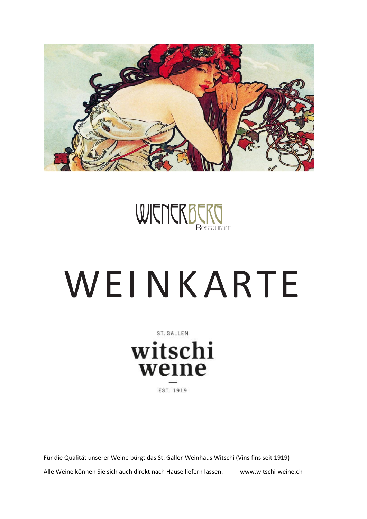



# WEINKARTE

ST. GALLEN witschi weine EST. 1919

Für die Qualität unserer Weine bürgt das St. Galler-Weinhaus Witschi (Vins fins seit 1919) Alle Weine können Sie sich auch direkt nach Hause liefern lassen. www.witschi-weine.ch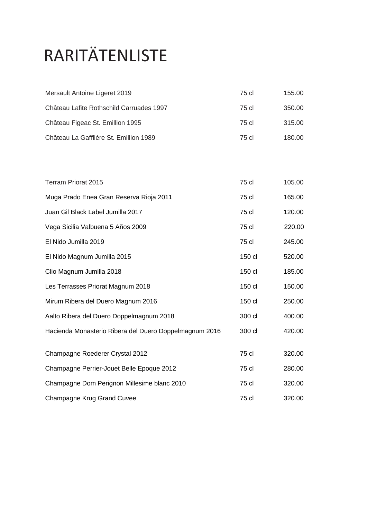# RARITÄTENLISTE

| Mersault Antoine Ligeret 2019                          | 75 cl  | 155.00 |
|--------------------------------------------------------|--------|--------|
| Château Lafite Rothschild Carruades 1997               | 75 cl  | 350.00 |
| Château Figeac St. Emillion 1995                       | 75 cl  | 315.00 |
| Château La Gafflière St. Emillion 1989                 | 75 cl  | 180.00 |
|                                                        |        |        |
| Terram Priorat 2015                                    | 75 cl  | 105.00 |
| Muga Prado Enea Gran Reserva Rioja 2011                | 75 cl  | 165.00 |
| Juan Gil Black Label Jumilla 2017                      | 75 cl  | 120.00 |
| Vega Sicilia Valbuena 5 Años 2009                      | 75 cl  | 220.00 |
| El Nido Jumilla 2019                                   | 75 cl  | 245.00 |
| El Nido Magnum Jumilla 2015                            | 150 cl | 520.00 |
| Clio Magnum Jumilla 2018                               | 150 cl | 185.00 |
| Les Terrasses Priorat Magnum 2018                      | 150 cl | 150.00 |
| Mirum Ribera del Duero Magnum 2016                     | 150 cl | 250.00 |
| Aalto Ribera del Duero Doppelmagnum 2018               | 300 cl | 400.00 |
| Hacienda Monasterio Ribera del Duero Doppelmagnum 2016 | 300 cl | 420.00 |
| Champagne Roederer Crystal 2012                        | 75 cl  | 320.00 |
| Champagne Perrier-Jouet Belle Epoque 2012              | 75 cl  | 280.00 |
| Champagne Dom Perignon Millesime blanc 2010            | 75 cl  | 320.00 |
| Champagne Krug Grand Cuvee                             | 75 cl  | 320.00 |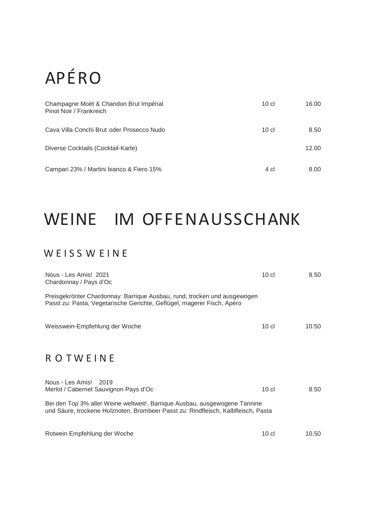# APÉRO

| Champagne Moët & Chandon Brut Impérial<br>Pinot Noir / Frankreich | 10 <sub>cl</sub> | 16.00 |
|-------------------------------------------------------------------|------------------|-------|
| Cava Villa Conchi Brut oder Prosecco Nudo                         | $10$ cl          | 8.50  |
| Diverse Cocktails (Cocktail-Karte)                                |                  | 12.00 |
| Campari 23% / Martini bianco & Fiero 15%                          | 4 cl             | 8.00  |

### WEINE IM OFFENAUSSCHANK

#### WEISS WEINE

| Nous - Les Amis! 2021<br>Chardonnay / Pays d'Oc                                                                                                                 | $10$ cl          | 8.50  |
|-----------------------------------------------------------------------------------------------------------------------------------------------------------------|------------------|-------|
| Preisgekrönter Chardonnay: Barrique Ausbau, rund, trocken und ausgewogen<br>Passt zu: Pasta, Vegetarische Gerichte, Geflügel, magerer Fisch, Apéro              |                  |       |
| Weisswein-Empfehlung der Woche                                                                                                                                  | $10$ cl          | 10.50 |
| <b>ROTWEINE</b>                                                                                                                                                 |                  |       |
| Nous - Les Amis!<br>2019<br>Merlot / Cabernet Sauvignon Pays d'Oc                                                                                               | 10 <sub>cl</sub> | 8.50  |
| Bei den Top 3% aller Weine weltweit!. Barrique Ausbau, ausgewogene Tannine<br>und Säure, trockene Holznoten, Brombeer Passt zu: Rindfleisch, Kalbfleisch, Pasta |                  |       |
| Rotwein Empfehlung der Woche                                                                                                                                    | $10$ cl          | 10.50 |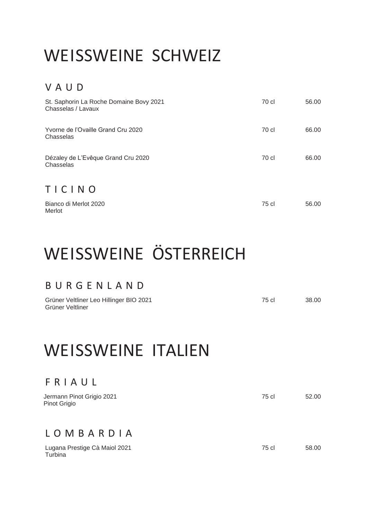### WEISSWEINE SCHWEIZ

#### V A U D

| St. Saphorin La Roche Domaine Bovy 2021<br>Chasselas / Lavaux | 70 cl | 56.00 |
|---------------------------------------------------------------|-------|-------|
| Yvorne de l'Ovaille Grand Cru 2020<br>Chasselas               | 70 cl | 66.00 |
| Dézaley de L'Evêque Grand Cru 2020<br>Chasselas               | 70 cl | 66.00 |
| TICINO                                                        |       |       |
| Bianco di Merlot 2020<br>Merlot                               | 75 cl | 56.00 |

### WEISSWEINE ÖSTERREICH

#### B U R G E N L A N D

| Grüner Veltliner Leo Hillinger BIO 2021 | 75 cl | 38.00 |
|-----------------------------------------|-------|-------|
| Grüner Veltliner                        |       |       |

### WEISSWEINE ITALIEN

#### F R I A U L

| Jermann Pinot Grigio 2021<br>Pinot Grigio | 75 cl | 52.00 |
|-------------------------------------------|-------|-------|
| LOMBARDIA                                 |       |       |
| Lugana Prestige Cà Maiol 2021<br>Turbina  | 75 cl | 58.00 |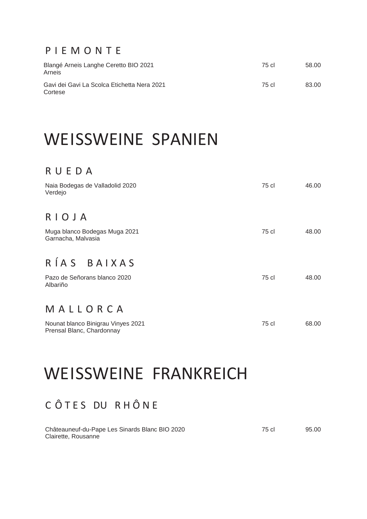#### P I E M O N T E

| Blangé Arneis Langhe Ceretto BIO 2021<br>Arneis        | 75 cl | 58.00 |
|--------------------------------------------------------|-------|-------|
| Gavi dei Gavi La Scolca Etichetta Nera 2021<br>Cortese | 75 cl | 83.00 |

### WEISSWEINE SPANIEN

#### R U E D A

| Naia Bodegas de Valladolid 2020<br>Verdejo                      | 75 cl | 46.00 |
|-----------------------------------------------------------------|-------|-------|
| RIOJA                                                           |       |       |
| Muga blanco Bodegas Muga 2021<br>Garnacha, Malvasia             | 75 cl | 48.00 |
| RÍAS BAIXAS                                                     |       |       |
| Pazo de Señorans blanco 2020<br>Albariño                        | 75 cl | 48.00 |
| MALLORCA                                                        |       |       |
| Nounat blanco Binigrau Vinyes 2021<br>Prensal Blanc, Chardonnay | 75 cl | 68.00 |

### WEISSWEINE FRANKREICH

#### C Ô T E S DU R H Ô N E

| Châteauneuf-du-Pape Les Sinards Blanc BIO 2020 | 75 cl | 95.00 |
|------------------------------------------------|-------|-------|
| Clairette, Rousanne                            |       |       |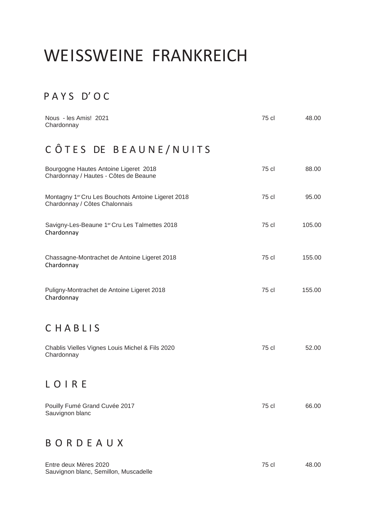### WEISSWEINE FRANKREICH

#### P A Y S D' O C

| Nous - les Amis! 2021<br>Chardonnay                                                             | 75 cl | 48.00  |
|-------------------------------------------------------------------------------------------------|-------|--------|
| CÔTES DE BEAUNE/NUITS                                                                           |       |        |
| Bourgogne Hautes Antoine Ligeret 2018<br>Chardonnay / Hautes - Côtes de Beaune                  | 75 cl | 88.00  |
| Montagny 1 <sup>er</sup> Cru Les Bouchots Antoine Ligeret 2018<br>Chardonnay / Côtes Chalonnais | 75 cl | 95.00  |
| Savigny-Les-Beaune 1er Cru Les Talmettes 2018<br>Chardonnay                                     | 75 cl | 105.00 |
| Chassagne-Montrachet de Antoine Ligeret 2018<br>Chardonnay                                      | 75 cl | 155.00 |
| Puligny-Montrachet de Antoine Ligeret 2018<br>Chardonnay                                        | 75 cl | 155.00 |
| CHABLIS                                                                                         |       |        |
| Chablis Vielles Vignes Louis Michel & Fils 2020<br>Chardonnay                                   | 75 cl | 52.00  |
| $\mathbf{U}$                                                                                    |       |        |
| Pouilly Fumé Grand Cuvée 2017<br>Sauvignon blanc                                                | 75 cl | 66.00  |
| BORDEAUX                                                                                        |       |        |
| Entre deux Mères 2020<br>Sauvignon blanc, Semillon, Muscadelle                                  | 75 cl | 48.00  |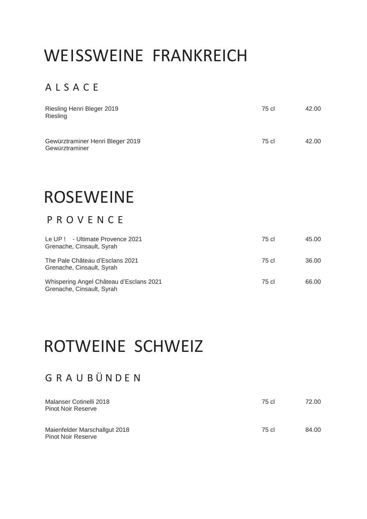### WEISSWEINE FRANKREICH

#### A L S A C E

| Riesling Henri Bleger 2019<br>Riesling             | 75 cl | 42.00 |
|----------------------------------------------------|-------|-------|
| Gewürztraminer Henri Bleger 2019<br>Gewürztraminer | 75 cl | 42.00 |

### ROSEWEINE

#### P R O V E N C E

| Le UP ! - Ultimate Provence 2021<br>Grenache, Cinsault, Syrah        | 75 cl | 45.00 |
|----------------------------------------------------------------------|-------|-------|
| The Pale Château d'Esclans 2021<br>Grenache, Cinsault, Syrah         | 75 cl | 36.00 |
| Whispering Angel Château d'Esclans 2021<br>Grenache, Cinsault, Syrah | 75 cl | 66.00 |

### ROTWEINE SCHWEIZ

#### G R A U B Ü N D E N

| Malanser Cotinelli 2018<br><b>Pinot Noir Reserve</b>       | 75 cl | 72.00 |
|------------------------------------------------------------|-------|-------|
| Maienfelder Marschallgut 2018<br><b>Pinot Noir Reserve</b> | 75 cl | 84.00 |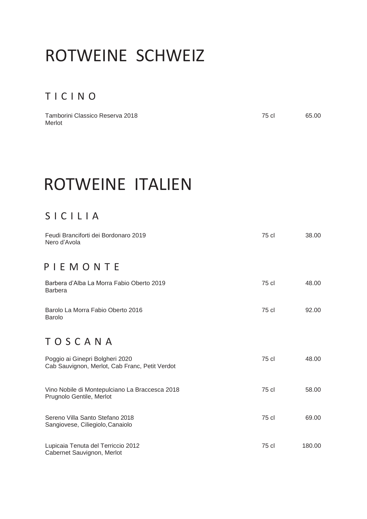### ROTWEINE SCHWEIZ

#### T I C I N O

Tamborini Classico Reserva 2018 **75 cl 65.00** Merlot

### ROTWEINE ITALIEN

#### S I C I L I A

| Feudi Branciforti dei Bordonaro 2019<br>Nero d'Avola                              | 75 cl | 38.00  |
|-----------------------------------------------------------------------------------|-------|--------|
| PIEMONTE                                                                          |       |        |
| Barbera d'Alba La Morra Fabio Oberto 2019<br><b>Barbera</b>                       | 75 cl | 48.00  |
| Barolo La Morra Fabio Oberto 2016<br><b>Barolo</b>                                | 75 cl | 92.00  |
| TOSCANA                                                                           |       |        |
| Poggio ai Ginepri Bolgheri 2020<br>Cab Sauvignon, Merlot, Cab Franc, Petit Verdot | 75 cl | 48.00  |
| Vino Nobile di Montepulciano La Braccesca 2018<br>Prugnolo Gentile, Merlot        | 75 cl | 58.00  |
| Sereno Villa Santo Stefano 2018<br>Sangiovese, Ciliegiolo, Canaiolo               | 75 cl | 69.00  |
| Lupicaia Tenuta del Terriccio 2012<br>Cabernet Sauvignon, Merlot                  | 75 cl | 180.00 |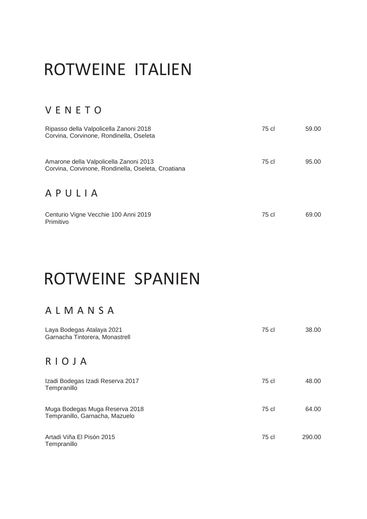### ROTWEINE ITALIEN

#### V E N E T O

| Ripasso della Valpolicella Zanoni 2018<br>Corvina, Corvinone, Rondinella, Oseleta            | 75 cl | 59.00 |
|----------------------------------------------------------------------------------------------|-------|-------|
| Amarone della Valpolicella Zanoni 2013<br>Corvina, Corvinone, Rondinella, Oseleta, Croatiana | 75 cl | 95.00 |
| APULIA                                                                                       |       |       |
| Centurio Vigne Vecchie 100 Anni 2019<br>Primitivo                                            | 75 cl | 69.00 |

### ROTWEINE SPANIEN

#### A L M A N S A

| Laya Bodegas Atalaya 2021<br>Garnacha Tintorera, Monastrell      | 75 cl | 38.00  |
|------------------------------------------------------------------|-------|--------|
| RIOJA                                                            |       |        |
| Izadi Bodegas Izadi Reserva 2017<br>Tempranillo                  | 75 cl | 48.00  |
| Muga Bodegas Muga Reserva 2018<br>Tempranillo, Garnacha, Mazuelo | 75 cl | 64.00  |
| Artadi Viña El Pisón 2015<br>Tempranillo                         | 75 cl | 290.00 |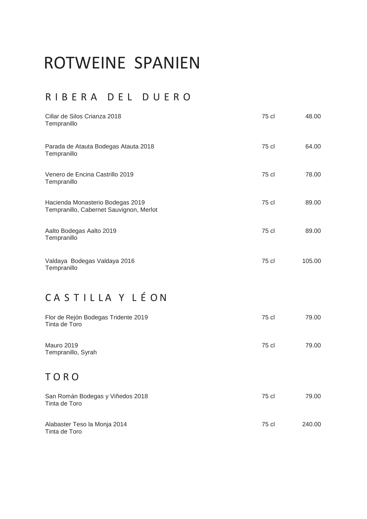### ROTWEINE SPANIEN

#### R I B E R A D E L D U E R O

| Cillar de Silos Crianza 2018<br>Tempranillo                                 | 75 cl | 48.00  |
|-----------------------------------------------------------------------------|-------|--------|
| Parada de Atauta Bodegas Atauta 2018<br>Tempranillo                         | 75 cl | 64.00  |
| Venero de Encina Castrillo 2019<br>Tempranillo                              | 75 cl | 78.00  |
| Hacienda Monasterio Bodegas 2019<br>Tempranillo, Cabernet Sauvignon, Merlot | 75 cl | 89.00  |
| Aalto Bodegas Aalto 2019<br>Tempranillo                                     | 75 cl | 89.00  |
| Valdaya Bodegas Valdaya 2016<br>Tempranillo                                 | 75 cl | 105.00 |
| CASTILLA Y LÉON                                                             |       |        |
| Flor de Rejón Bodegas Tridente 2019<br>Tinta de Toro                        | 75 cl | 79.00  |
| <b>Mauro 2019</b><br>Tempranillo, Syrah                                     | 75 cl | 79.00  |
| TORO                                                                        |       |        |
| San Román Bodegas y Viñedos 2018<br>Tinta de Toro                           | 75 cl | 79.00  |
| Alabaster Teso la Monja 2014<br>Tinta de Toro                               | 75 cl | 240.00 |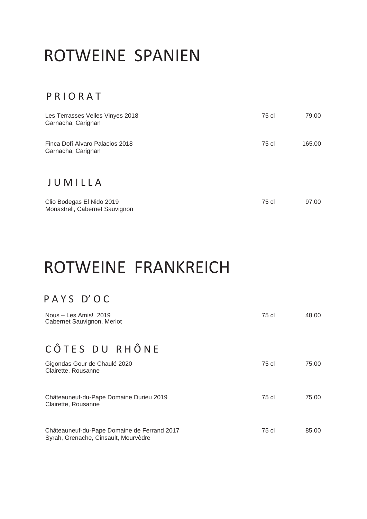### ROTWEINE SPANIEN

#### P R I O R A T

| Les Terrasses Velles Vinyes 2018<br>Garnacha, Carignan      | 75 cl | 79.00  |
|-------------------------------------------------------------|-------|--------|
| Finca Dofí Alvaro Palacios 2018<br>Garnacha, Carignan       | 75 cl | 165.00 |
| JUMILLA                                                     |       |        |
| Clio Bodegas El Nido 2019<br>Monastrell, Cabernet Sauvignon | 75 cl | 97.00  |

### ROTWEINE FRANKREICH

#### P A Y S D' O C

| Nous – Les Amis! 2019<br>Cabernet Sauvignon, Merlot                                 | 75 cl | 48.00 |
|-------------------------------------------------------------------------------------|-------|-------|
| CÔTES DU RHÔNE                                                                      |       |       |
| Gigondas Gour de Chaulé 2020<br>Clairette, Rousanne                                 | 75 cl | 75.00 |
| Châteauneuf-du-Pape Domaine Durieu 2019<br>Clairette, Rousanne                      | 75 cl | 75.00 |
| Châteauneuf-du-Pape Domaine de Ferrand 2017<br>Syrah, Grenache, Cinsault, Mourvèdre | 75 cl | 85.00 |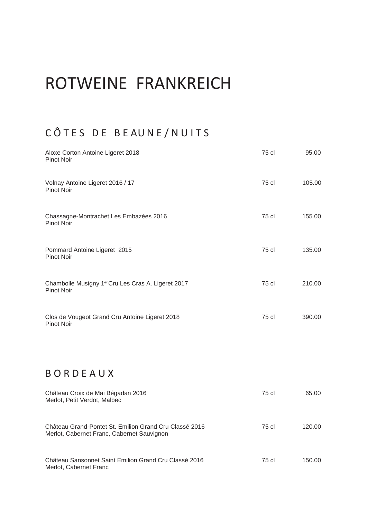### ROTWEINE FRANKREICH

#### CÔTES DE BEAUNE/NUITS

| Aloxe Corton Antoine Ligeret 2018<br>Pinot Noir                         | 75 cl | 95.00  |
|-------------------------------------------------------------------------|-------|--------|
| Volnay Antoine Ligeret 2016 / 17<br><b>Pinot Noir</b>                   | 75 cl | 105.00 |
| Chassagne-Montrachet Les Embazées 2016<br>Pinot Noir                    | 75 cl | 155.00 |
| Pommard Antoine Ligeret 2015<br><b>Pinot Noir</b>                       | 75 cl | 135.00 |
| Chambolle Musigny 1er Cru Les Cras A. Ligeret 2017<br><b>Pinot Noir</b> | 75 cl | 210.00 |
| Clos de Vougeot Grand Cru Antoine Ligeret 2018<br>Pinot Noir            | 75 cl | 390.00 |

#### **BORDEAUX**

| Château Croix de Mai Bégadan 2016<br>Merlot, Petit Verdot, Malbec                                    | 75 cl | 65.00  |
|------------------------------------------------------------------------------------------------------|-------|--------|
| Château Grand-Pontet St. Emilion Grand Cru Classé 2016<br>Merlot, Cabernet Franc, Cabernet Sauvignon | 75 cl | 120.00 |
| Château Sansonnet Saint Emilion Grand Cru Classé 2016<br>Merlot, Cabernet Franc                      | 75 cl | 150.00 |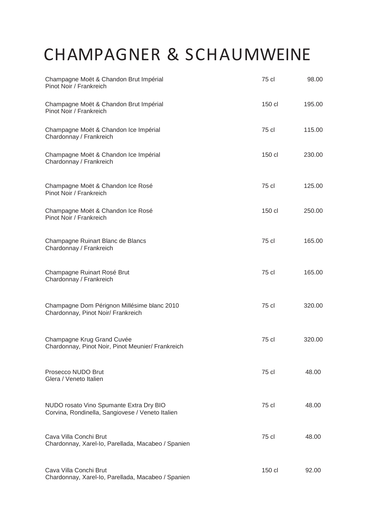## CHAMPAGNER & SCHAUMWEINE

| Champagne Moët & Chandon Brut Impérial<br>Pinot Noir / Frankreich                           | 75 cl  | 98.00  |
|---------------------------------------------------------------------------------------------|--------|--------|
| Champagne Moët & Chandon Brut Impérial<br>Pinot Noir / Frankreich                           | 150 cl | 195.00 |
| Champagne Moët & Chandon Ice Impérial<br>Chardonnay / Frankreich                            | 75 cl  | 115.00 |
| Champagne Moët & Chandon Ice Impérial<br>Chardonnay / Frankreich                            | 150 cl | 230.00 |
| Champagne Moët & Chandon Ice Rosé<br>Pinot Noir / Frankreich                                | 75 cl  | 125.00 |
| Champagne Moët & Chandon Ice Rosé<br>Pinot Noir / Frankreich                                | 150 cl | 250.00 |
| Champagne Ruinart Blanc de Blancs<br>Chardonnay / Frankreich                                | 75 cl  | 165.00 |
| Champagne Ruinart Rosé Brut<br>Chardonnay / Frankreich                                      | 75 cl  | 165.00 |
| Champagne Dom Pérignon Millésime blanc 2010<br>Chardonnay, Pinot Noir/ Frankreich           | 75 cl  | 320.00 |
| Champagne Krug Grand Cuvée<br>Chardonnay, Pinot Noir, Pinot Meunier/ Frankreich             | 75 cl  | 320.00 |
| Prosecco NUDO Brut<br>Glera / Veneto Italien                                                | 75 cl  | 48.00  |
| NUDO rosato Vino Spumante Extra Dry BIO<br>Corvina, Rondinella, Sangiovese / Veneto Italien | 75 cl  | 48.00  |
| Cava Villa Conchi Brut<br>Chardonnay, Xarel-Io, Parellada, Macabeo / Spanien                | 75 cl  | 48.00  |
| Cava Villa Conchi Brut<br>Chardonnay, Xarel-Io, Parellada, Macabeo / Spanien                | 150 cl | 92.00  |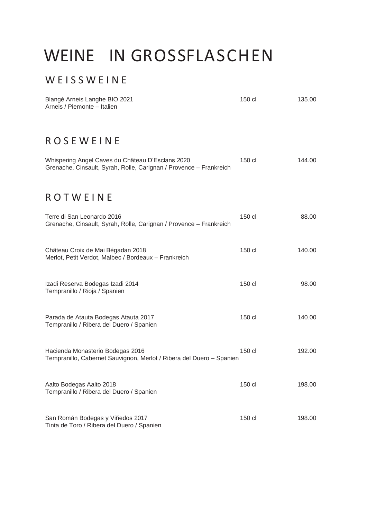### WEINE IN GROSSFLASCHEN

#### W E I S S W E I N E

| Blangé Arneis Langhe BIO 2021<br>Arneis / Piemonte - Italien                                                           | 150 cl | 135.00 |
|------------------------------------------------------------------------------------------------------------------------|--------|--------|
| <b>ROSEWEINE</b>                                                                                                       |        |        |
| Whispering Angel Caves du Château D'Esclans 2020<br>Grenache, Cinsault, Syrah, Rolle, Carignan / Provence - Frankreich | 150 cl | 144.00 |
| ROTWEINE                                                                                                               |        |        |
| Terre di San Leonardo 2016<br>Grenache, Cinsault, Syrah, Rolle, Carignan / Provence - Frankreich                       | 150 cl | 88.00  |
| Château Croix de Mai Bégadan 2018<br>Merlot, Petit Verdot, Malbec / Bordeaux - Frankreich                              | 150 cl | 140.00 |
| Izadi Reserva Bodegas Izadi 2014<br>Tempranillo / Rioja / Spanien                                                      | 150 cl | 98.00  |
| Parada de Atauta Bodegas Atauta 2017<br>Tempranillo / Ribera del Duero / Spanien                                       | 150 cl | 140.00 |
| Hacienda Monasterio Bodegas 2016<br>Tempranillo, Cabernet Sauvignon, Merlot / Ribera del Duero - Spanien               | 150 cl | 192.00 |
| Aalto Bodegas Aalto 2018<br>Tempranillo / Ribera del Duero / Spanien                                                   | 150 cl | 198.00 |
| San Román Bodegas y Viñedos 2017<br>Tinta de Toro / Ribera del Duero / Spanien                                         | 150 cl | 198.00 |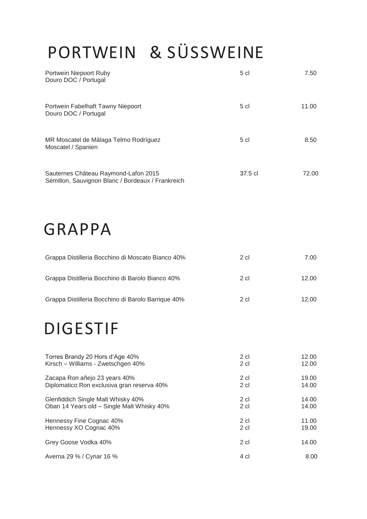# PORTWEIN & SÜSSWEINE

| Portwein Niepoort Ruby<br>Douro DOC / Portugal                                            | 5 cl           | 7.50           |
|-------------------------------------------------------------------------------------------|----------------|----------------|
| Portwein Fabelhaft Tawny Niepoort<br>Douro DOC / Portugal                                 | 5 cl           | 11.00          |
| MR Moscatel de Málaga Telmo Rodríguez<br>Moscatel / Spanien                               | 5 cl           | 8.50           |
| Sauternes Château Raymond-Lafon 2015<br>Sémillon, Sauvignon Blanc / Bordeaux / Frankreich | 37.5 cl        | 72.00          |
| GRAPPA                                                                                    |                |                |
| Grappa Distilleria Bocchino di Moscato Bianco 40%                                         | $2$ cl         | 7.00           |
| Grappa Distilleria Bocchino di Barolo Bianco 40%                                          | 2 cl           | 12.00          |
| Grappa Distilleria Bocchino di Barolo Barrique 40%                                        | 2 cl           | 12.00          |
| <b>DIGESTIF</b>                                                                           |                |                |
| Torres Brandy 20 Hors d'Age 40%<br>Kirsch - Williams - Zwetschgen 40%                     | 2 cl<br>$2$ cl | 12.00<br>12.00 |
| Zacapa Ron añejo 23 years 40%<br>Diplomatico Ron exclusiva gran reserva 40%               | 2 cl<br>2 cl   | 19.00<br>14.00 |
| Glenfiddich Single Malt Whisky 40%<br>Oban 14 Years old - Single Malt Whisky 40%          | 2 cl<br>2 cl   | 14.00<br>14.00 |
| Hennessy Fine Cognac 40%<br>Hennessy XO Cognac 40%                                        | 2 cl<br>2 cl   | 11.00<br>19.00 |

Grey Goose Vodka 40% 2 cl intervals and the control of the 2 cl intervals and the 14.00 Averna 29 % / Cynar 16 % 4 cl 4 cl 4 cl 4 m  $\frac{4 \text{ cl}}{4 \text{ cl}}$  8.00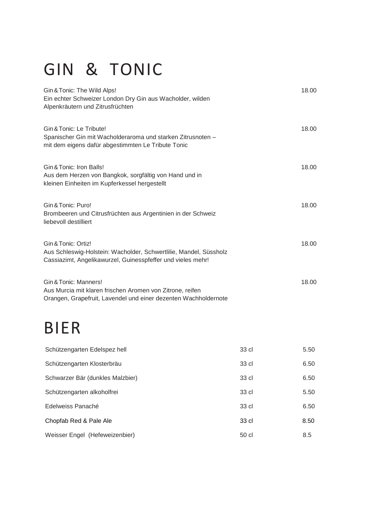# GIN & TONIC

| Gin & Tonic: The Wild Alps!                                                                                                                             | 18.00 |
|---------------------------------------------------------------------------------------------------------------------------------------------------------|-------|
| Ein echter Schweizer London Dry Gin aus Wacholder, wilden<br>Alpenkräutern und Zitrusfrüchten                                                           |       |
| Gin & Tonic: Le Tribute!<br>Spanischer Gin mit Wacholderaroma und starken Zitrusnoten -<br>mit dem eigens dafür abgestimmten Le Tribute Tonic           | 18.00 |
| Gin & Tonic: Iron Balls!<br>Aus dem Herzen von Bangkok, sorgfältig von Hand und in<br>kleinen Einheiten im Kupferkessel hergestellt                     | 18.00 |
| Gin & Tonic: Puro!<br>Brombeeren und Citrusfrüchten aus Argentinien in der Schweiz<br>liebevoll destilliert                                             | 18.00 |
| Gin & Tonic: Ortiz!<br>Aus Schleswig-Holstein: Wacholder, Schwertlilie, Mandel, Süssholz<br>Cassiazimt, Angelikawurzel, Guinesspfeffer und vieles mehr! | 18.00 |
| Gin & Tonic: Manners!<br>Aus Murcia mit klaren frischen Aromen von Zitrone, reifen<br>Orangen, Grapefruit, Lavendel und einer dezenten Wachholdernote   | 18.00 |
| <b>BIER</b>                                                                                                                                             |       |

| Schützengarten Edelspez hell     | 33 cl | 5.50 |
|----------------------------------|-------|------|
| Schützengarten Klosterbräu       | 33 cl | 6.50 |
| Schwarzer Bär (dunkles Malzbier) | 33 cl | 6.50 |
| Schützengarten alkoholfrei       | 33 cl | 5.50 |
| Edelweiss Panaché                | 33 cl | 6.50 |
| Chopfab Red & Pale Ale           | 33 cl | 8.50 |
| Weisser Engel (Hefeweizenbier)   | 50 cl | 8.5  |